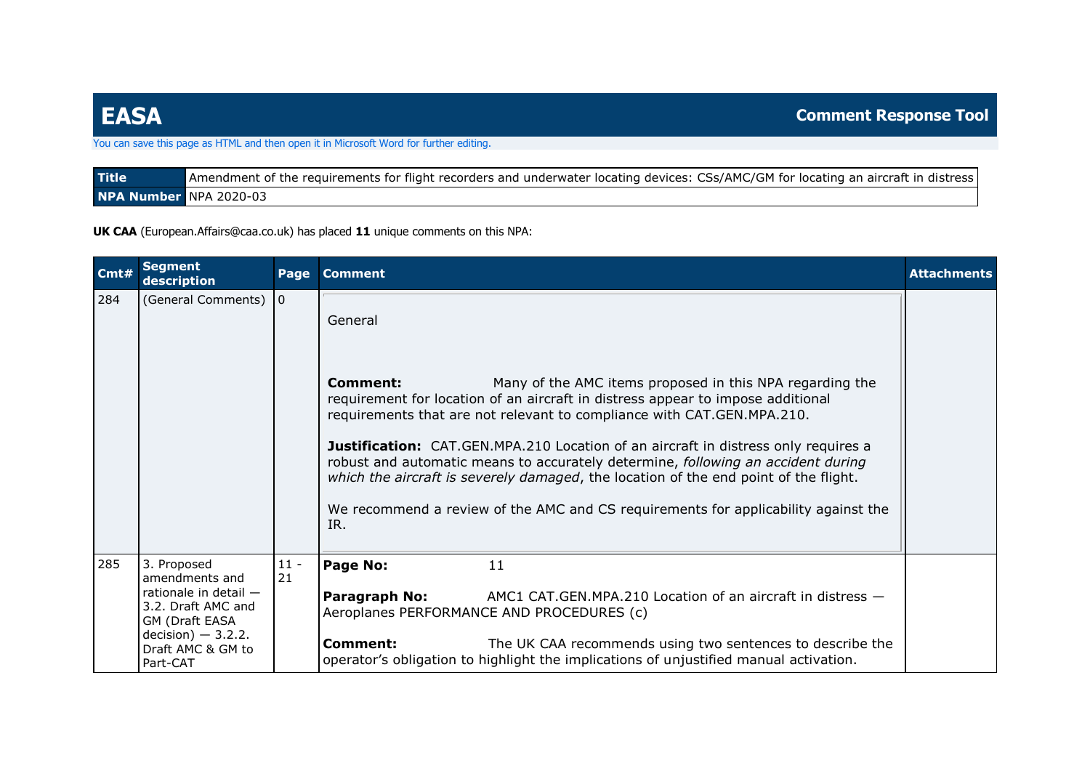## You can save this page as HTML and then open it in Microsoft Word for further editing.

| <b>Title</b>           | Amendment of the requirements for flight recorders and underwater locating devices: CSs/AMC/GM for locating an aircraft in distress |
|------------------------|-------------------------------------------------------------------------------------------------------------------------------------|
| NPA Number NPA 2020-03 |                                                                                                                                     |

**UK CAA** (European.Affairs@caa.co.uk) has placed **11** unique comments on this NPA:

| Cmt# | <b>Segment</b><br>description                                                                                                                              | Page           | <b>Comment</b>                                                                                                                                                                                                                                                                                                                                                                                                                                                                                                        | <b>Attachments</b> |
|------|------------------------------------------------------------------------------------------------------------------------------------------------------------|----------------|-----------------------------------------------------------------------------------------------------------------------------------------------------------------------------------------------------------------------------------------------------------------------------------------------------------------------------------------------------------------------------------------------------------------------------------------------------------------------------------------------------------------------|--------------------|
| 284  | (General Comments)                                                                                                                                         | $\overline{0}$ | General<br>Many of the AMC items proposed in this NPA regarding the<br>Comment:<br>requirement for location of an aircraft in distress appear to impose additional<br>requirements that are not relevant to compliance with CAT.GEN.MPA.210.<br><b>Justification:</b> CAT.GEN.MPA.210 Location of an aircraft in distress only requires a<br>robust and automatic means to accurately determine, following an accident during<br>which the aircraft is severely damaged, the location of the end point of the flight. |                    |
|      |                                                                                                                                                            |                | We recommend a review of the AMC and CS requirements for applicability against the<br>IR.                                                                                                                                                                                                                                                                                                                                                                                                                             |                    |
| 285  | 3. Proposed<br>amendments and<br>rationale in detail $-$<br>3.2. Draft AMC and<br>GM (Draft EASA<br>$decision$ ) - 3.2.2.<br>Draft AMC & GM to<br>Part-CAT | $11 -$<br>21   | Page No:<br>11<br>Paragraph No:<br>AMC1 CAT. GEN. MPA. 210 Location of an aircraft in distress $-$<br>Aeroplanes PERFORMANCE AND PROCEDURES (c)<br>Comment:<br>The UK CAA recommends using two sentences to describe the<br>operator's obligation to highlight the implications of unjustified manual activation.                                                                                                                                                                                                     |                    |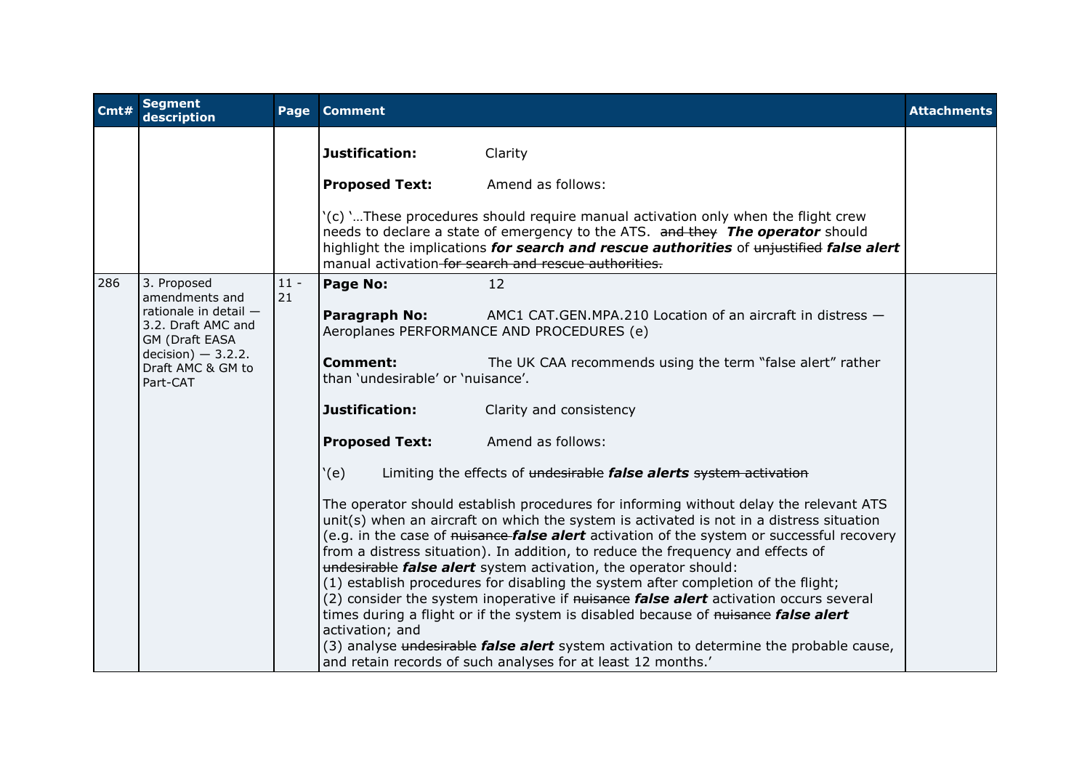| Cmt# | <b>Segment</b><br>description                                                                                                  | Page         | <b>Comment</b>                                       |                                                                                                                                                                                                                                                                                                                                                                                                                                                                                                                                                                                                                                                                                                                                                                                                                                                                                      | <b>Attachments</b> |
|------|--------------------------------------------------------------------------------------------------------------------------------|--------------|------------------------------------------------------|--------------------------------------------------------------------------------------------------------------------------------------------------------------------------------------------------------------------------------------------------------------------------------------------------------------------------------------------------------------------------------------------------------------------------------------------------------------------------------------------------------------------------------------------------------------------------------------------------------------------------------------------------------------------------------------------------------------------------------------------------------------------------------------------------------------------------------------------------------------------------------------|--------------------|
|      |                                                                                                                                |              | Justification:                                       | Clarity                                                                                                                                                                                                                                                                                                                                                                                                                                                                                                                                                                                                                                                                                                                                                                                                                                                                              |                    |
|      |                                                                                                                                |              | <b>Proposed Text:</b>                                | Amend as follows:                                                                                                                                                                                                                                                                                                                                                                                                                                                                                                                                                                                                                                                                                                                                                                                                                                                                    |                    |
|      |                                                                                                                                |              |                                                      | '(c) 'These procedures should require manual activation only when the flight crew<br>needs to declare a state of emergency to the ATS. and they The operator should<br>highlight the implications for search and rescue authorities of unjustified false alert<br>manual activation for search and rescue authorities.                                                                                                                                                                                                                                                                                                                                                                                                                                                                                                                                                               |                    |
| 286  | 3. Proposed<br>amendments and                                                                                                  | $11 -$<br>21 | Page No:                                             | 12                                                                                                                                                                                                                                                                                                                                                                                                                                                                                                                                                                                                                                                                                                                                                                                                                                                                                   |                    |
|      | rationale in detail -<br>3.2. Draft AMC and<br><b>GM (Draft EASA</b><br>$decision$ ) - 3.2.2.<br>Draft AMC & GM to<br>Part-CAT |              | Paragraph No:                                        | AMC1 CAT.GEN.MPA.210 Location of an aircraft in distress -<br>Aeroplanes PERFORMANCE AND PROCEDURES (e)                                                                                                                                                                                                                                                                                                                                                                                                                                                                                                                                                                                                                                                                                                                                                                              |                    |
|      |                                                                                                                                |              | <b>Comment:</b><br>than 'undesirable' or 'nuisance'. | The UK CAA recommends using the term "false alert" rather                                                                                                                                                                                                                                                                                                                                                                                                                                                                                                                                                                                                                                                                                                                                                                                                                            |                    |
|      |                                                                                                                                |              | Justification:                                       | Clarity and consistency                                                                                                                                                                                                                                                                                                                                                                                                                                                                                                                                                                                                                                                                                                                                                                                                                                                              |                    |
|      |                                                                                                                                |              | <b>Proposed Text:</b>                                | Amend as follows:                                                                                                                                                                                                                                                                                                                                                                                                                                                                                                                                                                                                                                                                                                                                                                                                                                                                    |                    |
|      |                                                                                                                                |              | (e)                                                  | Limiting the effects of undesirable false alerts system activation                                                                                                                                                                                                                                                                                                                                                                                                                                                                                                                                                                                                                                                                                                                                                                                                                   |                    |
|      |                                                                                                                                |              | activation; and                                      | The operator should establish procedures for informing without delay the relevant ATS<br>unit(s) when an aircraft on which the system is activated is not in a distress situation<br>(e.g. in the case of <del>nuisance false alert</del> activation of the system or successful recovery<br>from a distress situation). In addition, to reduce the frequency and effects of<br>undesirable false alert system activation, the operator should:<br>(1) establish procedures for disabling the system after completion of the flight;<br>(2) consider the system inoperative if nuisance false alert activation occurs several<br>times during a flight or if the system is disabled because of nuisance false alert<br>(3) analyse undesirable <i>false alert</i> system activation to determine the probable cause,<br>and retain records of such analyses for at least 12 months.' |                    |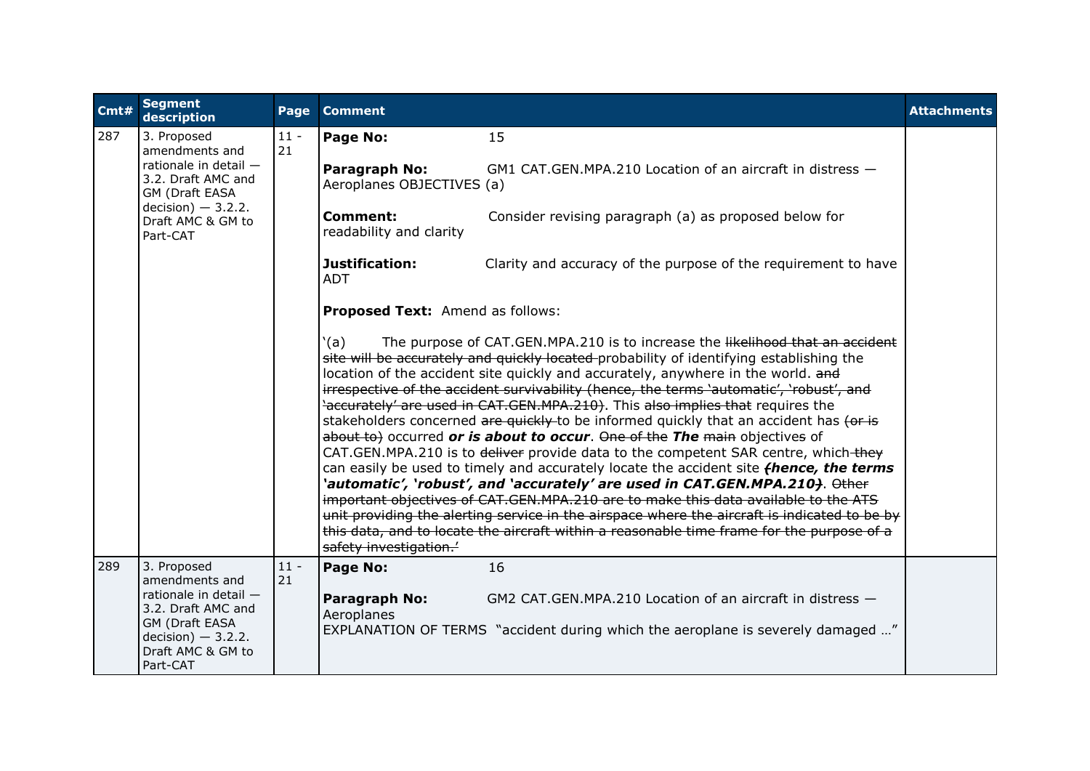| Cmt# | <b>Segment</b><br>description                                                                                                                                   | Page         | <b>Comment</b>                             |                                                                                                                                                                                                                                                                                                                                                                                                                                                                                                                                                                                                                                                                                                                                                                                                                                                                                                                                                                                                                                                                                                                                                                                         | <b>Attachments</b> |
|------|-----------------------------------------------------------------------------------------------------------------------------------------------------------------|--------------|--------------------------------------------|-----------------------------------------------------------------------------------------------------------------------------------------------------------------------------------------------------------------------------------------------------------------------------------------------------------------------------------------------------------------------------------------------------------------------------------------------------------------------------------------------------------------------------------------------------------------------------------------------------------------------------------------------------------------------------------------------------------------------------------------------------------------------------------------------------------------------------------------------------------------------------------------------------------------------------------------------------------------------------------------------------------------------------------------------------------------------------------------------------------------------------------------------------------------------------------------|--------------------|
| 287  | 3. Proposed<br>amendments and<br>rationale in detail -<br>3.2. Draft AMC and<br>GM (Draft EASA<br>$decision$ – 3.2.2.<br>Draft AMC & GM to<br>Part-CAT          | $11 -$<br>21 | Page No:                                   | 15                                                                                                                                                                                                                                                                                                                                                                                                                                                                                                                                                                                                                                                                                                                                                                                                                                                                                                                                                                                                                                                                                                                                                                                      |                    |
|      |                                                                                                                                                                 |              | Paragraph No:<br>Aeroplanes OBJECTIVES (a) | GM1 CAT.GEN.MPA.210 Location of an aircraft in distress $-$                                                                                                                                                                                                                                                                                                                                                                                                                                                                                                                                                                                                                                                                                                                                                                                                                                                                                                                                                                                                                                                                                                                             |                    |
|      |                                                                                                                                                                 |              | <b>Comment:</b><br>readability and clarity | Consider revising paragraph (a) as proposed below for                                                                                                                                                                                                                                                                                                                                                                                                                                                                                                                                                                                                                                                                                                                                                                                                                                                                                                                                                                                                                                                                                                                                   |                    |
|      |                                                                                                                                                                 |              | Justification:<br><b>ADT</b>               | Clarity and accuracy of the purpose of the requirement to have                                                                                                                                                                                                                                                                                                                                                                                                                                                                                                                                                                                                                                                                                                                                                                                                                                                                                                                                                                                                                                                                                                                          |                    |
|      |                                                                                                                                                                 |              | Proposed Text: Amend as follows:           |                                                                                                                                                                                                                                                                                                                                                                                                                                                                                                                                                                                                                                                                                                                                                                                                                                                                                                                                                                                                                                                                                                                                                                                         |                    |
|      |                                                                                                                                                                 |              | `(a)<br>safety investigation.'             | The purpose of CAT.GEN.MPA.210 is to increase the likelihood that an accident<br>site will be accurately and quickly located-probability of identifying establishing the<br>location of the accident site quickly and accurately, anywhere in the world. and<br>irrespective of the accident survivability (hence, the terms 'automatic', 'robust', and<br>'accurately' are used in CAT.GEN.MPA.210). This also implies that requires the<br>stakeholders concerned are quickly to be informed quickly that an accident has (or is<br>about to) occurred or is about to occur. One of the The main objectives of<br>CAT.GEN.MPA.210 is to deliver provide data to the competent SAR centre, which-they<br>can easily be used to timely and accurately locate the accident site <i>thence</i> , the terms<br>`automatic', `robust', and `accurately' are used in CAT.GEN.MPA.210 <del>)</del> . Other<br>important objectives of CAT.GEN.MPA.210 are to make this data available to the ATS<br>unit providing the alerting service in the airspace where the aircraft is indicated to be by<br>this data, and to locate the aircraft within a reasonable time frame for the purpose of a |                    |
| 289  | 3. Proposed<br>amendments and<br>rationale in detail $-$<br>3.2. Draft AMC and<br><b>GM</b> (Draft EASA<br>$decision$ – 3.2.2.<br>Draft AMC & GM to<br>Part-CAT | $11 -$<br>21 | Page No:<br>Paragraph No:<br>Aeroplanes    | 16<br>GM2 CAT.GEN.MPA.210 Location of an aircraft in distress $-$<br>EXPLANATION OF TERMS "accident during which the aeroplane is severely damaged "                                                                                                                                                                                                                                                                                                                                                                                                                                                                                                                                                                                                                                                                                                                                                                                                                                                                                                                                                                                                                                    |                    |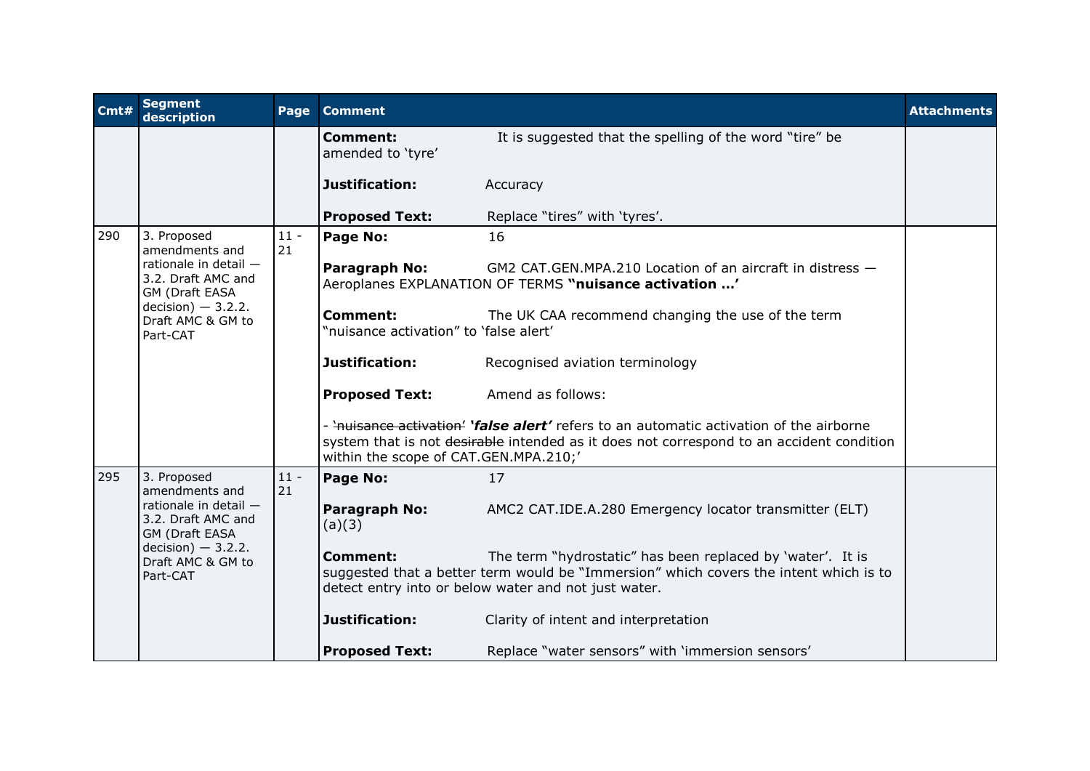| Cmt# | <b>Segment</b><br>description                                                                                           | Page         | <b>Comment</b>                                            |                                                                                                                                                                                                             | <b>Attachments</b> |
|------|-------------------------------------------------------------------------------------------------------------------------|--------------|-----------------------------------------------------------|-------------------------------------------------------------------------------------------------------------------------------------------------------------------------------------------------------------|--------------------|
|      |                                                                                                                         |              | <b>Comment:</b><br>amended to 'tyre'                      | It is suggested that the spelling of the word "tire" be                                                                                                                                                     |                    |
|      |                                                                                                                         |              | Justification:                                            | Accuracy                                                                                                                                                                                                    |                    |
|      |                                                                                                                         |              | <b>Proposed Text:</b>                                     | Replace "tires" with 'tyres'.                                                                                                                                                                               |                    |
| 290  | 3. Proposed<br>amendments and                                                                                           | $11 -$<br>21 | Page No:                                                  | 16                                                                                                                                                                                                          |                    |
|      | rationale in detail $-$<br>3.2. Draft AMC and<br>GM (Draft EASA<br>$decision$ – 3.2.2.<br>Draft AMC & GM to<br>Part-CAT |              | Paragraph No:                                             | GM2 CAT.GEN.MPA.210 Location of an aircraft in distress -<br>Aeroplanes EXPLANATION OF TERMS "nuisance activation '                                                                                         |                    |
|      |                                                                                                                         |              | <b>Comment:</b><br>"nuisance activation" to 'false alert' | The UK CAA recommend changing the use of the term                                                                                                                                                           |                    |
|      |                                                                                                                         |              | Justification:                                            | Recognised aviation terminology                                                                                                                                                                             |                    |
|      |                                                                                                                         |              | <b>Proposed Text:</b>                                     | Amend as follows:                                                                                                                                                                                           |                    |
|      |                                                                                                                         |              | within the scope of CAT.GEN.MPA.210;'                     | - 'nuisance activation' 'false alert' refers to an automatic activation of the airborne<br>system that is not desirable intended as it does not correspond to an accident condition                         |                    |
| 295  | 3. Proposed<br>amendments and                                                                                           | $11 -$<br>21 | Page No:                                                  | 17                                                                                                                                                                                                          |                    |
|      | rationale in detail -<br>3.2. Draft AMC and<br>GM (Draft EASA                                                           |              | Paragraph No:<br>(a)(3)                                   | AMC2 CAT.IDE.A.280 Emergency locator transmitter (ELT)                                                                                                                                                      |                    |
|      | $decision$ – 3.2.2.<br>Draft AMC & GM to<br>Part-CAT                                                                    |              | Comment:                                                  | The term "hydrostatic" has been replaced by 'water'. It is<br>suggested that a better term would be "Immersion" which covers the intent which is to<br>detect entry into or below water and not just water. |                    |
|      |                                                                                                                         |              | Justification:                                            | Clarity of intent and interpretation                                                                                                                                                                        |                    |
|      |                                                                                                                         |              | <b>Proposed Text:</b>                                     | Replace "water sensors" with 'immersion sensors'                                                                                                                                                            |                    |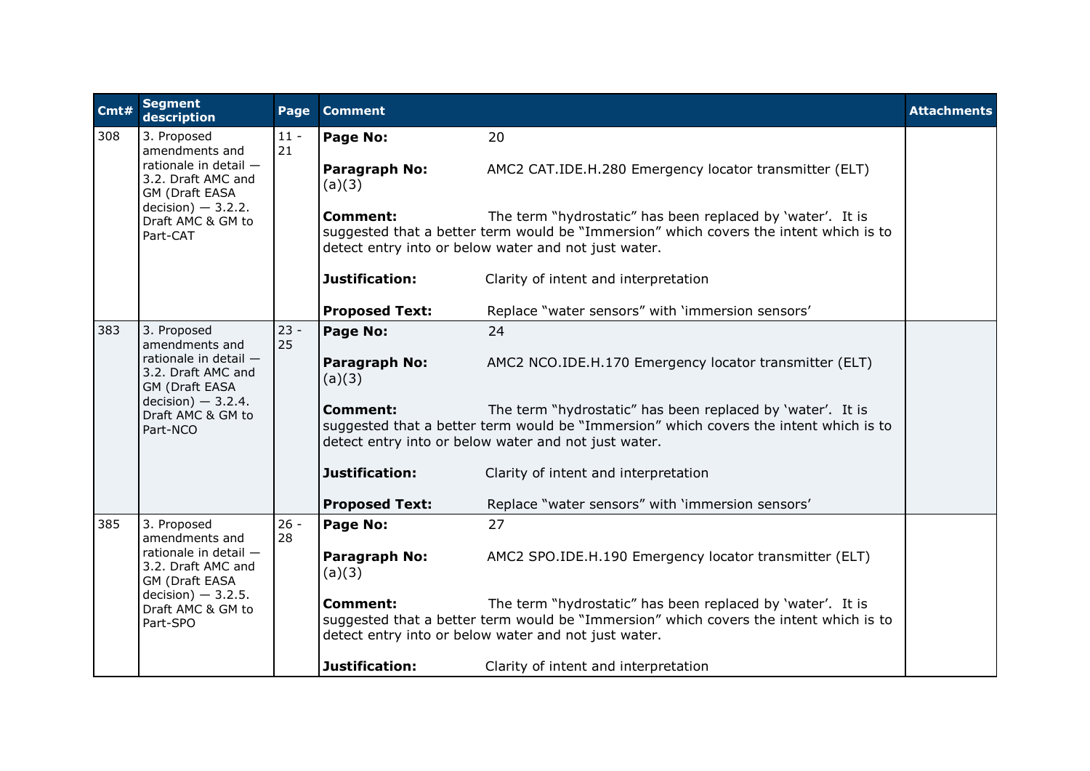| Cmt# | <b>Segment</b><br>description                                                                                                                            | Page         | <b>Comment</b>          |                                                                                                                                                                                                             | <b>Attachments</b> |
|------|----------------------------------------------------------------------------------------------------------------------------------------------------------|--------------|-------------------------|-------------------------------------------------------------------------------------------------------------------------------------------------------------------------------------------------------------|--------------------|
| 308  | 3. Proposed<br>amendments and<br>rationale in detail -<br>3.2. Draft AMC and<br>GM (Draft EASA<br>$decision$ – 3.2.2.<br>Draft AMC & GM to<br>Part-CAT   | $11 -$<br>21 | Page No:                | 20                                                                                                                                                                                                          |                    |
|      |                                                                                                                                                          |              | Paragraph No:<br>(a)(3) | AMC2 CAT.IDE.H.280 Emergency locator transmitter (ELT)                                                                                                                                                      |                    |
|      |                                                                                                                                                          |              | Comment:                | The term "hydrostatic" has been replaced by 'water'. It is<br>suggested that a better term would be "Immersion" which covers the intent which is to<br>detect entry into or below water and not just water. |                    |
|      |                                                                                                                                                          |              | Justification:          | Clarity of intent and interpretation                                                                                                                                                                        |                    |
|      |                                                                                                                                                          |              | <b>Proposed Text:</b>   | Replace "water sensors" with 'immersion sensors'                                                                                                                                                            |                    |
| 383  | 3. Proposed<br>amendments and<br>rationale in detail -<br>3.2. Draft AMC and<br>GM (Draft EASA<br>$decision$ ) - 3.2.4.<br>Draft AMC & GM to<br>Part-NCO | $23 -$<br>25 | Page No:                | 24                                                                                                                                                                                                          |                    |
|      |                                                                                                                                                          |              | Paragraph No:<br>(a)(3) | AMC2 NCO.IDE.H.170 Emergency locator transmitter (ELT)                                                                                                                                                      |                    |
|      |                                                                                                                                                          |              | <b>Comment:</b>         | The term "hydrostatic" has been replaced by 'water'. It is<br>suggested that a better term would be "Immersion" which covers the intent which is to<br>detect entry into or below water and not just water. |                    |
|      |                                                                                                                                                          |              | Justification:          | Clarity of intent and interpretation                                                                                                                                                                        |                    |
|      |                                                                                                                                                          |              | <b>Proposed Text:</b>   | Replace "water sensors" with 'immersion sensors'                                                                                                                                                            |                    |
| 385  | 3. Proposed<br>amendments and<br>rationale in detail -<br>3.2. Draft AMC and<br>GM (Draft EASA<br>$decision$ ) - 3.2.5.<br>Draft AMC & GM to<br>Part-SPO | $26 -$<br>28 | Page No:                | 27                                                                                                                                                                                                          |                    |
|      |                                                                                                                                                          |              | Paragraph No:<br>(a)(3) | AMC2 SPO.IDE.H.190 Emergency locator transmitter (ELT)                                                                                                                                                      |                    |
|      |                                                                                                                                                          |              | <b>Comment:</b>         | The term "hydrostatic" has been replaced by 'water'. It is<br>suggested that a better term would be "Immersion" which covers the intent which is to<br>detect entry into or below water and not just water. |                    |
|      |                                                                                                                                                          |              | Justification:          | Clarity of intent and interpretation                                                                                                                                                                        |                    |